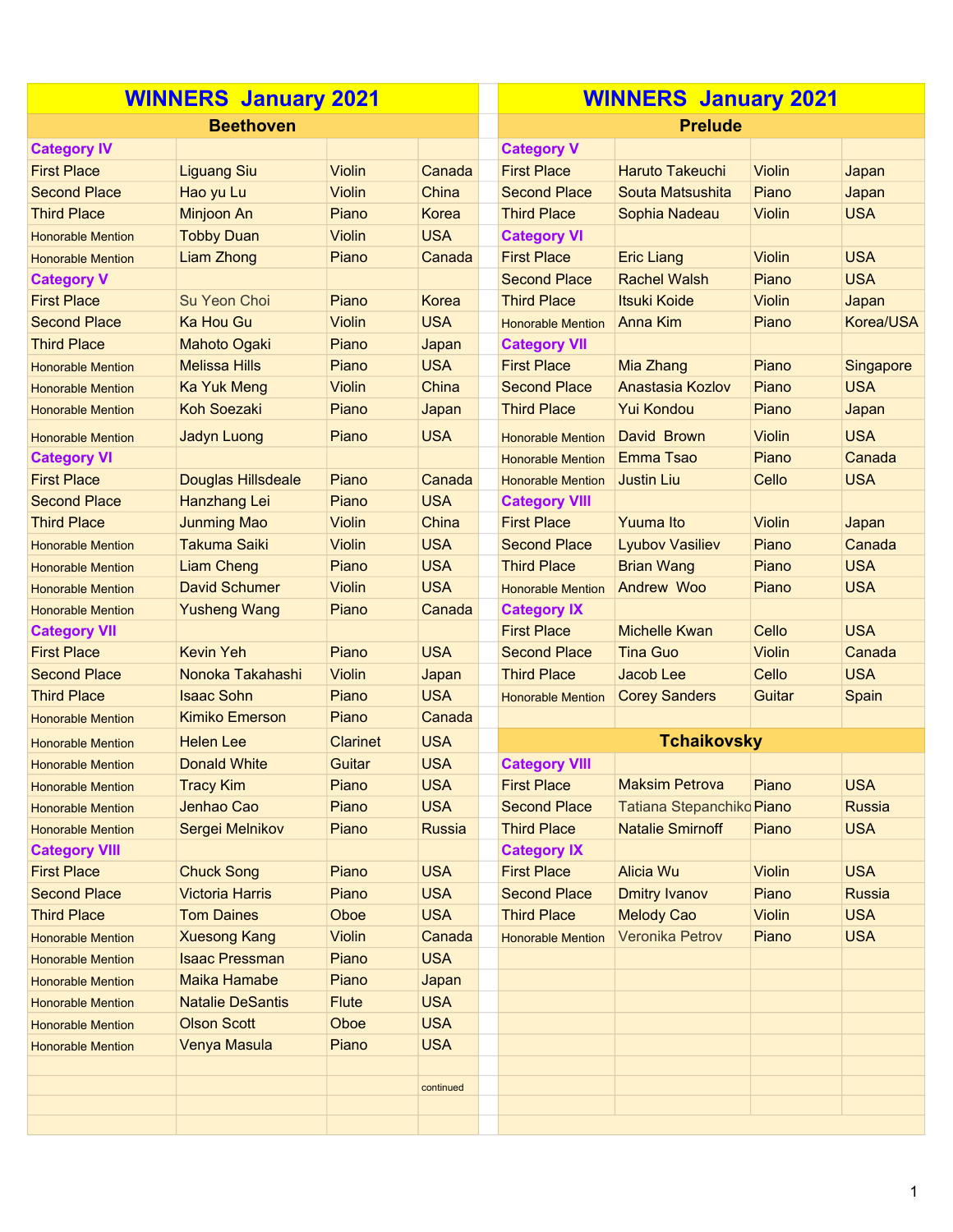| <b>WINNERS January 2021</b> |                           |                 |               | <b>WINNERS January 2021</b> |                           |               |               |  |
|-----------------------------|---------------------------|-----------------|---------------|-----------------------------|---------------------------|---------------|---------------|--|
|                             | <b>Beethoven</b>          |                 |               |                             | <b>Prelude</b>            |               |               |  |
| <b>Category IV</b>          |                           |                 |               | <b>Category V</b>           |                           |               |               |  |
| <b>First Place</b>          | <b>Liguang Siu</b>        | <b>Violin</b>   | Canada        | <b>First Place</b>          | <b>Haruto Takeuchi</b>    | Violin        | Japan         |  |
| <b>Second Place</b>         | Hao yu Lu                 | <b>Violin</b>   | China         | <b>Second Place</b>         | Souta Matsushita          | Piano         | Japan         |  |
| <b>Third Place</b>          | Minjoon An                | Piano           | Korea         | <b>Third Place</b>          | Sophia Nadeau             | <b>Violin</b> | <b>USA</b>    |  |
| <b>Honorable Mention</b>    | <b>Tobby Duan</b>         | Violin          | <b>USA</b>    | <b>Category VI</b>          |                           |               |               |  |
| <b>Honorable Mention</b>    | Liam Zhong                | Piano           | Canada        | <b>First Place</b>          | <b>Eric Liang</b>         | <b>Violin</b> | <b>USA</b>    |  |
| <b>Category V</b>           |                           |                 |               | <b>Second Place</b>         | <b>Rachel Walsh</b>       | Piano         | <b>USA</b>    |  |
| <b>First Place</b>          | Su Yeon Choi              | Piano           | Korea         | <b>Third Place</b>          | <b>Itsuki Koide</b>       | <b>Violin</b> | Japan         |  |
| <b>Second Place</b>         | Ka Hou Gu                 | Violin          | <b>USA</b>    | <b>Honorable Mention</b>    | <b>Anna Kim</b>           | Piano         | Korea/USA     |  |
| <b>Third Place</b>          | <b>Mahoto Ogaki</b>       | Piano           | Japan         | <b>Category VII</b>         |                           |               |               |  |
| <b>Honorable Mention</b>    | <b>Melissa Hills</b>      | Piano           | <b>USA</b>    | <b>First Place</b>          | Mia Zhang                 | Piano         | Singapore     |  |
| <b>Honorable Mention</b>    | <b>Ka Yuk Meng</b>        | <b>Violin</b>   | China         | <b>Second Place</b>         | Anastasia Kozlov          | Piano         | <b>USA</b>    |  |
| <b>Honorable Mention</b>    | <b>Koh Soezaki</b>        | Piano           | Japan         | <b>Third Place</b>          | Yui Kondou                | Piano         | Japan         |  |
| <b>Honorable Mention</b>    | Jadyn Luong               | Piano           | <b>USA</b>    | <b>Honorable Mention</b>    | David Brown               | <b>Violin</b> | <b>USA</b>    |  |
| <b>Category VI</b>          |                           |                 |               | <b>Honorable Mention</b>    | Emma Tsao                 | Piano         | Canada        |  |
| <b>First Place</b>          | <b>Douglas Hillsdeale</b> | Piano           | Canada        | <b>Honorable Mention</b>    | Justin Liu                | Cello         | <b>USA</b>    |  |
| <b>Second Place</b>         | Hanzhang Lei              | Piano           | <b>USA</b>    | <b>Category VIII</b>        |                           |               |               |  |
| <b>Third Place</b>          | <b>Junming Mao</b>        | <b>Violin</b>   | China         | <b>First Place</b>          | <b>Yuuma Ito</b>          | <b>Violin</b> | Japan         |  |
| <b>Honorable Mention</b>    | <b>Takuma Saiki</b>       | <b>Violin</b>   | <b>USA</b>    | <b>Second Place</b>         | <b>Lyubov Vasiliev</b>    | Piano         | Canada        |  |
| <b>Honorable Mention</b>    | <b>Liam Cheng</b>         | Piano           | <b>USA</b>    | <b>Third Place</b>          | <b>Brian Wang</b>         | Piano         | <b>USA</b>    |  |
| <b>Honorable Mention</b>    | <b>David Schumer</b>      | <b>Violin</b>   | <b>USA</b>    | <b>Honorable Mention</b>    | <b>Andrew Woo</b>         | Piano         | <b>USA</b>    |  |
| <b>Honorable Mention</b>    | <b>Yusheng Wang</b>       | Piano           | Canada        | <b>Category IX</b>          |                           |               |               |  |
| <b>Category VII</b>         |                           |                 |               | <b>First Place</b>          | <b>Michelle Kwan</b>      | Cello         | <b>USA</b>    |  |
| <b>First Place</b>          | <b>Kevin Yeh</b>          | Piano           | <b>USA</b>    | <b>Second Place</b>         | <b>Tina Guo</b>           | <b>Violin</b> | Canada        |  |
| <b>Second Place</b>         | Nonoka Takahashi          | <b>Violin</b>   | Japan         | <b>Third Place</b>          | Jacob Lee                 | Cello         | <b>USA</b>    |  |
| <b>Third Place</b>          | <b>Isaac Sohn</b>         | Piano           | <b>USA</b>    | <b>Honorable Mention</b>    | <b>Corey Sanders</b>      | <b>Guitar</b> | Spain         |  |
| <b>Honorable Mention</b>    | <b>Kimiko Emerson</b>     | Piano           | Canada        |                             |                           |               |               |  |
| <b>Honorable Mention</b>    | <b>Helen Lee</b>          | <b>Clarinet</b> | <b>USA</b>    |                             | <b>Tchaikovsky</b>        |               |               |  |
| <b>Honorable Mention</b>    | <b>Donald White</b>       | Guitar          | <b>USA</b>    | <b>Category VIII</b>        |                           |               |               |  |
| <b>Honorable Mention</b>    | <b>Tracy Kim</b>          | Piano           | <b>USA</b>    | <b>First Place</b>          | <b>Maksim Petrova</b>     | Piano         | <b>USA</b>    |  |
| <b>Honorable Mention</b>    | Jenhao Cao                | Piano           | <b>USA</b>    | <b>Second Place</b>         | Tatiana Stepanchiko Piano |               | <b>Russia</b> |  |
| <b>Honorable Mention</b>    | Sergei Melnikov           | Piano           | <b>Russia</b> | <b>Third Place</b>          | <b>Natalie Smirnoff</b>   | Piano         | <b>USA</b>    |  |
| <b>Category VIII</b>        |                           |                 |               | <b>Category IX</b>          |                           |               |               |  |
| <b>First Place</b>          | <b>Chuck Song</b>         | Piano           | <b>USA</b>    | <b>First Place</b>          | <b>Alicia Wu</b>          | <b>Violin</b> | <b>USA</b>    |  |
| <b>Second Place</b>         | <b>Victoria Harris</b>    | Piano           | <b>USA</b>    | <b>Second Place</b>         | <b>Dmitry Ivanov</b>      | Piano         | <b>Russia</b> |  |
| <b>Third Place</b>          | <b>Tom Daines</b>         | Oboe            | <b>USA</b>    | <b>Third Place</b>          | <b>Melody Cao</b>         | <b>Violin</b> | <b>USA</b>    |  |
| <b>Honorable Mention</b>    | <b>Xuesong Kang</b>       | <b>Violin</b>   | Canada        | <b>Honorable Mention</b>    | Veronika Petrov           | Piano         | <b>USA</b>    |  |
| <b>Honorable Mention</b>    | <b>Isaac Pressman</b>     | Piano           | <b>USA</b>    |                             |                           |               |               |  |
| <b>Honorable Mention</b>    | <b>Maika Hamabe</b>       | Piano           | Japan         |                             |                           |               |               |  |
| <b>Honorable Mention</b>    | <b>Natalie DeSantis</b>   | <b>Flute</b>    | <b>USA</b>    |                             |                           |               |               |  |
| <b>Honorable Mention</b>    | <b>Olson Scott</b>        | Oboe            | <b>USA</b>    |                             |                           |               |               |  |
| <b>Honorable Mention</b>    | Venya Masula              | Piano           | <b>USA</b>    |                             |                           |               |               |  |
|                             |                           |                 |               |                             |                           |               |               |  |
|                             |                           |                 | continued     |                             |                           |               |               |  |
|                             |                           |                 |               |                             |                           |               |               |  |
|                             |                           |                 |               |                             |                           |               |               |  |